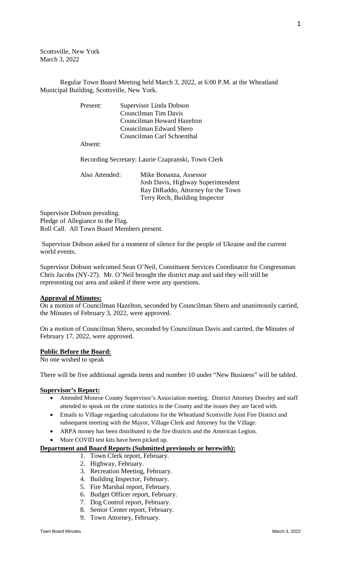Scottsville, New York March 3, 2022

Regular Town Board Meeting held March 3, 2022, at 6:00 P.M. at the Wheatland Municipal Building, Scottsville, New York.

| Present: | Supervisor Linda Dobson                            |
|----------|----------------------------------------------------|
|          | Councilman Tim Davis                               |
|          | Councilman Howard Hazelton                         |
|          | Councilman Edward Shero                            |
|          | Councilman Carl Schoenthal                         |
| Absent:  |                                                    |
|          | Recording Secretary: Laurie Czapranski, Town Clerk |

Also Attended: Mike Bonanza, Assessor Josh Davis, Highway Superintendent Ray DiRaddo, Attorney for the Town Terry Rech, Building Inspector

Supervisor Dobson presiding. Pledge of Allegiance to the Flag. Roll Call. All Town Board Members present.

Supervisor Dobson asked for a moment of silence for the people of Ukraine and the current world events.

Supervisor Dobson welcomed Sean O'Neil, Constituent Services Coordinator for Congressman Chris Jacobs (NY-27). Mr. O'Neil brought the district map and said they will still be representing our area and asked if there were any questions.

### **Approval of Minutes:**

On a motion of Councilman Hazelton, seconded by Councilman Shero and unanimously carried, the Minutes of February 3, 2022, were approved.

On a motion of Councilman Shero, seconded by Councilman Davis and carried, the Minutes of February 17, 2022, were approved.

### **Public Before the Board:**

No one wished to speak

There will be five additional agenda items and number 10 under "New Business" will be tabled.

#### **Supervisor's Report:**

- Attended Monroe County Supervisor's Association meeting. District Attorney Doorley and staff attended to speak on the crime statistics in the County and the issues they are faced with.
- Emails to Village regarding calculations for the Wheatland Scottsville Joint Fire District and subsequent meeting with the Mayor, Village Clerk and Attorney for the Village.
- ARPA money has been distributed to the fire districts and the American Legion.
- More COVID test kits have been picked up.

### **Department and Board Reports (Submitted previously or herewith):**

- 1. Town Clerk report, February.
- 2. Highway, February.
- 3. Recreation Meeting, February.
- 4. Building Inspector, February.
- 5. Fire Marshal report, February.
- 6. Budget Officer report, February.
- 7. Dog Control report, February.
- 8. Senior Center report, February.
- 9. Town Attorney, February.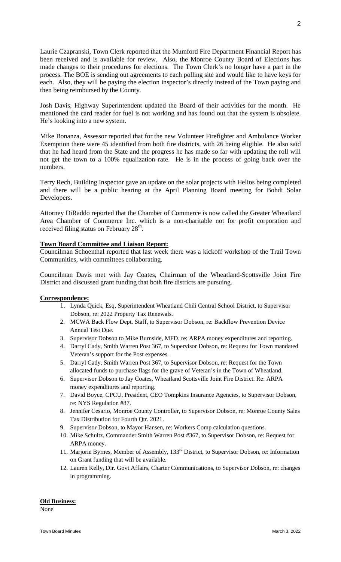Laurie Czapranski, Town Clerk reported that the Mumford Fire Department Financial Report has been received and is available for review. Also, the Monroe County Board of Elections has made changes to their procedures for elections. The Town Clerk's no longer have a part in the process. The BOE is sending out agreements to each polling site and would like to have keys for each. Also, they will be paying the election inspector's directly instead of the Town paying and then being reimbursed by the County.

Josh Davis, Highway Superintendent updated the Board of their activities for the month. He mentioned the card reader for fuel is not working and has found out that the system is obsolete. He's looking into a new system.

Mike Bonanza, Assessor reported that for the new Volunteer Firefighter and Ambulance Worker Exemption there were 45 identified from both fire districts, with 26 being eligible. He also said that he had heard from the State and the progress he has made so far with updating the roll will not get the town to a 100% equalization rate. He is in the process of going back over the numbers.

Terry Rech, Building Inspector gave an update on the solar projects with Helios being completed and there will be a public hearing at the April Planning Board meeting for Bohdi Solar Developers.

Attorney DiRaddo reported that the Chamber of Commerce is now called the Greater Wheatland Area Chamber of Commerce Inc. which is a non-charitable not for profit corporation and received filing status on February 28<sup>th</sup>.

# **Town Board Committee and Liaison Report:**

Councilman Schoenthal reported that last week there was a kickoff workshop of the Trail Town Communities, with committees collaborating.

Councilman Davis met with Jay Coates, Chairman of the Wheatland-Scottsville Joint Fire District and discussed grant funding that both fire districts are pursuing.

# **Correspondence:**

- 1. Lynda Quick, Esq, Superintendent Wheatland Chili Central School District, to Supervisor Dobson, re: 2022 Property Tax Renewals.
- 2. MCWA Back Flow Dept. Staff, to Supervisor Dobson, re: Backflow Prevention Device Annual Test Due.
- 3. Supervisor Dobson to Mike Burnside, MFD. re: ARPA money expenditures and reporting.
- 4. Darryl Cady, Smith Warren Post 367, to Supervisor Dobson, re: Request for Town mandated Veteran's support for the Post expenses.
- 5. Darryl Cady, Smith Warren Post 367, to Supervisor Dobson, re: Request for the Town allocated funds to purchase flags for the grave of Veteran's in the Town of Wheatland.
- 6. Supervisor Dobson to Jay Coates, Wheatland Scottsville Joint Fire District. Re: ARPA money expenditures and reporting.
- 7. David Boyce, CPCU, President, CEO Tompkins Insurance Agencies, to Supervisor Dobson, re: NYS Regulation #87.
- 8. Jennifer Cesario, Monroe County Controller, to Supervisor Dobson, re: Monroe County Sales Tax Distribution for Fourth Qtr. 2021.
- 9. Supervisor Dobson, to Mayor Hansen, re: Workers Comp calculation questions.
- 10. Mike Schultz, Commander Smith Warren Post #367, to Supervisor Dobson, re: Request for ARPA money.
- 11. Marjorie Byrnes, Member of Assembly, 133rd District, to Supervisor Dobson, re: Information on Grant funding that will be available.
- 12. Lauren Kelly, Dir. Govt Affairs, Charter Communications, to Supervisor Dobson, re: changes in programming.

### **Old Business:**

None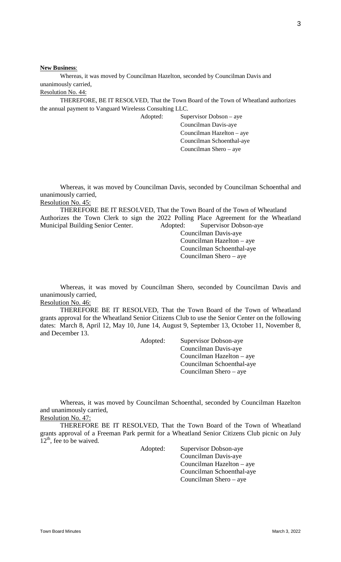**New Business**:

Whereas, it was moved by Councilman Hazelton, seconded by Councilman Davis and unanimously carried,

Resolution No. 44:

THEREFORE, BE IT RESOLVED, That the Town Board of the Town of Wheatland authorizes the annual payment to Vanguard Wirelesss Consulting LLC.

Adopted: Supervisor Dobson – aye Councilman Davis-aye Councilman Hazelton – aye Councilman Schoenthal-aye Councilman Shero – aye

Whereas, it was moved by Councilman Davis, seconded by Councilman Schoenthal and unanimously carried, Resolution No. 45:

THEREFORE BE IT RESOLVED, That the Town Board of the Town of Wheatland Authorizes the Town Clerk to sign the 2022 Polling Place Agreement for the Wheatland Municipal Building Senior Center. Adopted: Supervisor Dobson-aye

Councilman Davis-aye Councilman Hazelton – aye Councilman Schoenthal-aye Councilman Shero – aye

Whereas, it was moved by Councilman Shero, seconded by Councilman Davis and unanimously carried,

Resolution No. 46:

THEREFORE BE IT RESOLVED, That the Town Board of the Town of Wheatland grants approval for the Wheatland Senior Citizens Club to use the Senior Center on the following dates: March 8, April 12, May 10, June 14, August 9, September 13, October 11, November 8, and December 13.

> Adopted: Supervisor Dobson-aye Councilman Davis-aye Councilman Hazelton – aye Councilman Schoenthal-aye Councilman Shero – aye

Whereas, it was moved by Councilman Schoenthal, seconded by Councilman Hazelton and unanimously carried,

Resolution No. 47:

THEREFORE BE IT RESOLVED, That the Town Board of the Town of Wheatland grants approval of a Freeman Park permit for a Wheatland Senior Citizens Club picnic on July  $12<sup>th</sup>$ , fee to be waived.

Adopted: Supervisor Dobson-aye

Councilman Davis-aye Councilman Hazelton – aye Councilman Schoenthal-aye Councilman Shero – aye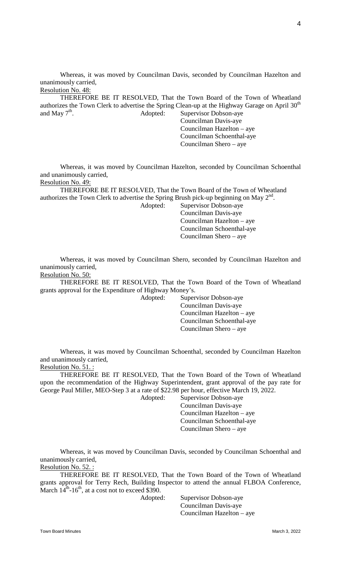Whereas, it was moved by Councilman Davis, seconded by Councilman Hazelton and unanimously carried, Resolution No. 48:

THEREFORE BE IT RESOLVED, That the Town Board of the Town of Wheatland authorizes the Town Clerk to advertise the Spring Clean-up at the Highway Garage on April 30<sup>th</sup> and May  $7<sup>th</sup>$ . Adopted: Supervisor Dobson-aye

Councilman Davis-aye Councilman Hazelton – aye Councilman Schoenthal-aye Councilman Shero – aye

Whereas, it was moved by Councilman Hazelton, seconded by Councilman Schoenthal and unanimously carried,

Resolution No. 49:

THEREFORE BE IT RESOLVED, That the Town Board of the Town of Wheatland authorizes the Town Clerk to advertise the Spring Brush pick-up beginning on May  $2<sup>nd</sup>$ .

Adopted: Supervisor Dobson-aye Councilman Davis-aye Councilman Hazelton – aye Councilman Schoenthal-aye Councilman Shero – aye

Whereas, it was moved by Councilman Shero, seconded by Councilman Hazelton and unanimously carried,

Resolution No. 50:

THEREFORE BE IT RESOLVED, That the Town Board of the Town of Wheatland grants approval for the Expenditure of Highway Money's.

> Adopted: Supervisor Dobson-aye Councilman Davis-aye Councilman Hazelton – aye Councilman Schoenthal-aye Councilman Shero – aye

Whereas, it was moved by Councilman Schoenthal, seconded by Councilman Hazelton and unanimously carried,

Resolution No. 51. :

THEREFORE BE IT RESOLVED, That the Town Board of the Town of Wheatland upon the recommendation of the Highway Superintendent, grant approval of the pay rate for George Paul Miller, MEO-Step 3 at a rate of \$22.98 per hour, effective March 19, 2022.

Adopted: Supervisor Dobson-aye Councilman Davis-aye Councilman Hazelton – aye Councilman Schoenthal-aye Councilman Shero – aye

Whereas, it was moved by Councilman Davis, seconded by Councilman Schoenthal and unanimously carried,

Resolution No. 52.:

THEREFORE BE IT RESOLVED, That the Town Board of the Town of Wheatland grants approval for Terry Rech, Building Inspector to attend the annual FLBOA Conference, March  $14^{\text{th}}$ -16<sup>th</sup>, at a cost not to exceed \$390.

Adopted: Supervisor Dobson-aye Councilman Davis-aye Councilman Hazelton – aye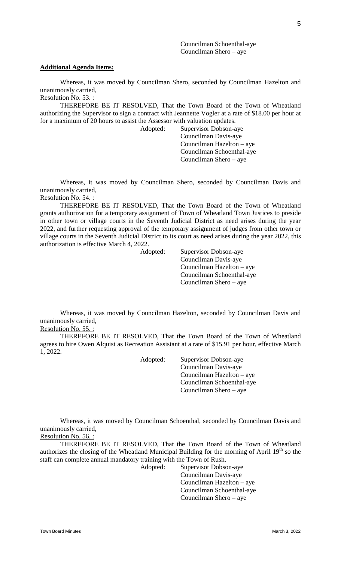Councilman Schoenthal-aye Councilman Shero – aye

### **Additional Agenda Items:**

Whereas, it was moved by Councilman Shero, seconded by Councilman Hazelton and unanimously carried, Resolution No. 53. :

THEREFORE BE IT RESOLVED, That the Town Board of the Town of Wheatland authorizing the Supervisor to sign a contract with Jeannette Vogler at a rate of \$18.00 per hour at for a maximum of 20 hours to assist the Assessor with valuation updates.

Adopted: Supervisor Dobson-aye Councilman Davis-aye Councilman Hazelton – aye Councilman Schoenthal-aye Councilman Shero – aye

Whereas, it was moved by Councilman Shero, seconded by Councilman Davis and unanimously carried, Resolution No. 54. :

THEREFORE BE IT RESOLVED, That the Town Board of the Town of Wheatland grants authorization for a temporary assignment of Town of Wheatland Town Justices to preside in other town or village courts in the Seventh Judicial District as need arises during the year 2022, and further requesting approval of the temporary assignment of judges from other town or village courts in the Seventh Judicial District to its court as need arises during the year 2022, this authorization is effective March 4, 2022.

Adopted: Supervisor Dobson-aye Councilman Davis-aye Councilman Hazelton – aye Councilman Schoenthal-aye Councilman Shero – aye

Whereas, it was moved by Councilman Hazelton, seconded by Councilman Davis and unanimously carried,

Resolution No. 55.:

THEREFORE BE IT RESOLVED, That the Town Board of the Town of Wheatland agrees to hire Owen Alquist as Recreation Assistant at a rate of \$15.91 per hour, effective March 1, 2022.

Adopted: Supervisor Dobson-aye Councilman Davis-aye Councilman Hazelton – aye Councilman Schoenthal-aye Councilman Shero – aye

Whereas, it was moved by Councilman Schoenthal, seconded by Councilman Davis and unanimously carried,

Resolution No. 56. :

THEREFORE BE IT RESOLVED, That the Town Board of the Town of Wheatland authorizes the closing of the Wheatland Municipal Building for the morning of April  $19<sup>th</sup>$  so the staff can complete annual mandatory training with the Town of Rush.

Adopted: Supervisor Dobson-aye Councilman Davis-aye Councilman Hazelton – aye Councilman Schoenthal-aye Councilman Shero – aye